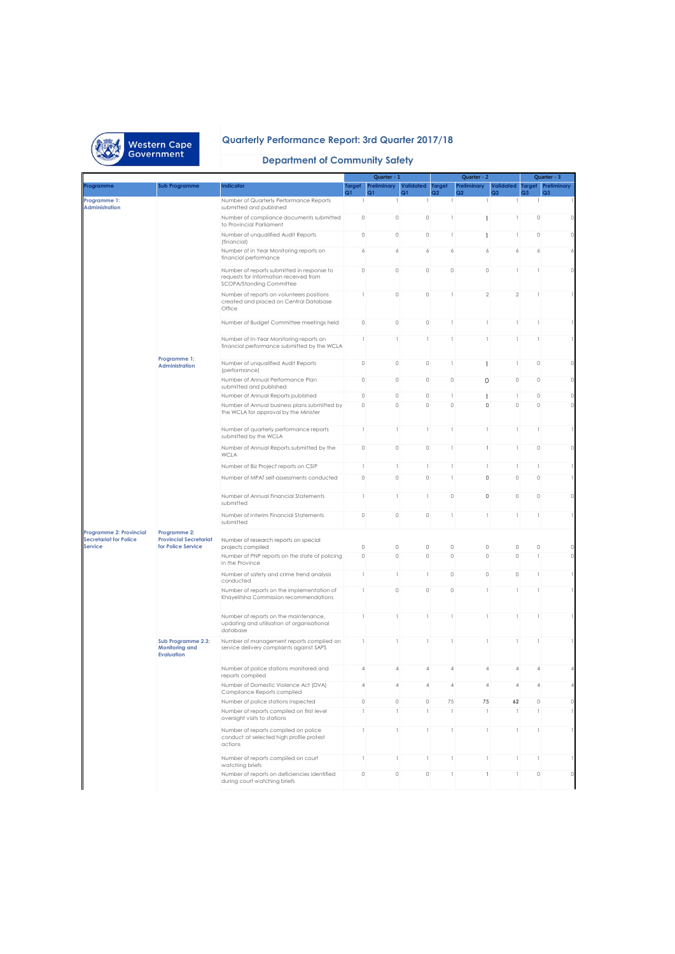

## **Quarterly Performance Report: 3rd Quarter 2017/18**

## **Department of Community Safety**

|                                                          |                                                                  |                                                                                                                  |                | Quarter - 1                           |                               |                | Quarter - 2                   |                                       |                                       | Quarter - 3                   |
|----------------------------------------------------------|------------------------------------------------------------------|------------------------------------------------------------------------------------------------------------------|----------------|---------------------------------------|-------------------------------|----------------|-------------------------------|---------------------------------------|---------------------------------------|-------------------------------|
| Programme                                                | <b>Sub Programme</b>                                             | <b>Indicator</b>                                                                                                 | Target<br>Q1   | Preliminary<br>Q1                     | <b>Validated</b> Target<br>Q1 | Q2             | Preliminary<br>Q <sub>2</sub> | <b>Validated Target</b><br>Q2         | Q <sub>3</sub>                        | Preliminary<br>Q <sub>3</sub> |
| Programme 1:<br><b>Administration</b>                    |                                                                  | Number of Quarterly Performance Reports<br>submitted and published                                               | 1              |                                       |                               | 1              |                               |                                       |                                       |                               |
|                                                          |                                                                  | Number of compliance documents submitted<br>to Provincial Parliament                                             | $\circ$        | 0                                     | $\circ$                       | 1              | 1                             | 1                                     | 0                                     | 0                             |
|                                                          |                                                                  | Number of unqualified Audit Reports<br>(financial)                                                               | $\circ$        | 0                                     | $\circ$                       | 1              | 1                             | 1                                     | 0                                     | $\circ$                       |
|                                                          |                                                                  | Number of in Year Monitoring reports on<br>financial performance                                                 | 6              | 6                                     | 6                             | 6              | 6                             | 6                                     | 6                                     | 6                             |
|                                                          |                                                                  | Number of reports submitted in response to<br>requests for information received from<br>SCOPA/Standing Committee | $\circ$        | 0                                     | $\circ$                       | $\circ$        | 0                             | 1                                     |                                       | 0                             |
|                                                          |                                                                  | Number of reports on volunteers positions<br>created and placed on Central Database<br>Office                    | 1              | 0                                     | $\circ$                       | $\mathbf{1}$   | $\overline{2}$                | $\overline{2}$                        | 1                                     |                               |
|                                                          |                                                                  | Number of Budget Committee meetings held                                                                         | $\circ$        | 0                                     | $\circ$                       | 1              | 1                             | 1                                     | 1                                     |                               |
|                                                          |                                                                  | Number of In-Year Monitoring reports on<br>financial performance submitted by the WCLA                           | 1              |                                       | $\mathbf{1}$                  | 1              | 1                             | $\mathbf{1}$                          | -1                                    | 1                             |
|                                                          | Programme 1:<br><b>Administration</b>                            | Number of unqualified Audit Reports<br>(performance)                                                             | $\circ$        | 0                                     | $\circ$                       | 1              | 1                             | 1                                     | 0                                     | $\circ$                       |
|                                                          |                                                                  | Number of Annual Performance Plan<br>submitted and published                                                     | $\circ$        | 0                                     | $\circ$                       | $\circ$        | $\mathbf 0$                   | $\circ$                               | 0                                     | 0                             |
|                                                          |                                                                  | Number of Annual Reports published                                                                               | $\circ$        | 0                                     | $\circ$                       | 1              | 1                             | 1                                     | 0                                     | 0                             |
|                                                          |                                                                  | Number of Annual business plans submitted by<br>the WCLA for approval by the Minister                            | $\circ$        | 0                                     | $\circ$                       | $\circ$        | 0                             | $\circ$                               | 0                                     | $\Omega$                      |
|                                                          |                                                                  | Number of quarterly performance reports<br>submitted by the WCLA                                                 | 1              | 1                                     | 1                             | 1              | 1                             | 1                                     | 1                                     |                               |
|                                                          |                                                                  | Number of Annual Reports submitted by the<br>WCLA                                                                | $\circ$        | 0                                     | $\circ$                       | $\overline{1}$ | 1                             | $\mathbf{1}$                          | 0                                     | $\circ$                       |
|                                                          |                                                                  | Number of Biz Project reports on CSIP                                                                            | 1              | -1                                    | 1                             | 1              | 1                             | $\mathbf{1}$                          | 1                                     |                               |
|                                                          |                                                                  | Number of MPAT self-assessments conducted                                                                        | $\circ$        | 0                                     | $\circ$                       | 1              | 0                             | $\circ$                               | 0                                     |                               |
|                                                          |                                                                  | Number of Annual Financial Statements<br>submitted                                                               | 1              |                                       | 1                             | $\circ$        | 0                             | $\mathbb O$                           | 0                                     | 0                             |
|                                                          |                                                                  | Number of Interim Financial Statements<br>submitted                                                              | $\circ$        | 0                                     | $\circ$                       | 1              | 1                             | 1                                     | 1                                     | 1                             |
| Programme 2: Provincial<br><b>Secretariat for Police</b> | Programme 2:<br><b>Provincial Secretariat</b>                    | Number of research reports on special                                                                            |                |                                       |                               |                |                               |                                       |                                       |                               |
| <b>Service</b>                                           | for Police Service                                               | projects compiled                                                                                                | $\circ$        | $\mathbb O$                           | $\circ$                       | $\mathbb O$    | $\circ$                       | $\mathbb O$                           | 0                                     | 0                             |
|                                                          |                                                                  | Number of PNP reports on the state of policing<br>in the Province                                                | $\circ$        | 0                                     | $\circ$                       | $\circ$        | $\circ$                       | $\mathbb O$                           | $\mathbf{1}$                          | 0                             |
|                                                          |                                                                  | Number of safety and crime trend analysis<br>conducted                                                           | 1              | 1                                     | 1                             | $\circ$        | $\circ$                       | $\circ$                               | 1                                     | 1                             |
|                                                          |                                                                  | Number of reports on the implementation of<br>Khayelitsha Commission recommendations                             | 1              | 0                                     | $\circ$                       | $\circ$        | т                             | 1                                     |                                       |                               |
|                                                          |                                                                  | Number of reports on the maintenance,<br>updating and utilisation of organisational<br>database                  | 1              | -1                                    | 1                             | 1              | 1                             | -1                                    | 1                                     |                               |
|                                                          | Sub Programme 2.3:<br><b>Monitoring and</b><br><b>Evaluation</b> | Number of management reports compiled on<br>service delivery complaints against SAPS                             | 1              |                                       | 1                             | 1              | 1                             | 1                                     | 1                                     |                               |
|                                                          |                                                                  | Number of police stations monitored and<br>reports compiled                                                      | $\overline{4}$ | $\overline{A}$                        | 4                             | 4              | $\overline{4}$                | $\overline{A}$                        | $\overline{A}$                        | 4                             |
|                                                          |                                                                  | Number of Domestic Violence Act (DVA)<br>Compliance Reports compiled                                             |                |                                       |                               |                |                               |                                       |                                       |                               |
|                                                          |                                                                  | Number of police stations inspected                                                                              | $\circ$        | $\circ$                               | $\circ$                       | 75             | 75                            | 62                                    | $\circ$                               | $\circ$                       |
|                                                          |                                                                  | Number of reports compiled on first level<br>oversight visits to stations                                        | 1              | 1                                     | 1                             | 1              | 1                             | 1                                     | $\begin{array}{c} \hline \end{array}$ |                               |
|                                                          |                                                                  | Number of reports compiled on police<br>conduct at selected high profile protest<br>actions                      | 1              | 1                                     | $\,$ $\,$                     | 1              | 1                             | $\begin{array}{c} \hline \end{array}$ | 1                                     | 1                             |
|                                                          |                                                                  | Number of reports compiled on court<br>watching briefs                                                           | 1              | $\begin{array}{c} \hline \end{array}$ | 1                             | 1              | 1                             | $\mathbf{1}$                          | $\begin{array}{c} \hline \end{array}$ | 1                             |
|                                                          |                                                                  | Number of reports on deficiencies identified                                                                     | $\circ$        | $\circ$                               | $\circ$                       | $\mathbb{I}$   | 1                             | $\,$ $\,$                             | $\circ$                               | $\circ$                       |
|                                                          |                                                                  | during court watching briefs                                                                                     |                |                                       |                               |                |                               |                                       |                                       |                               |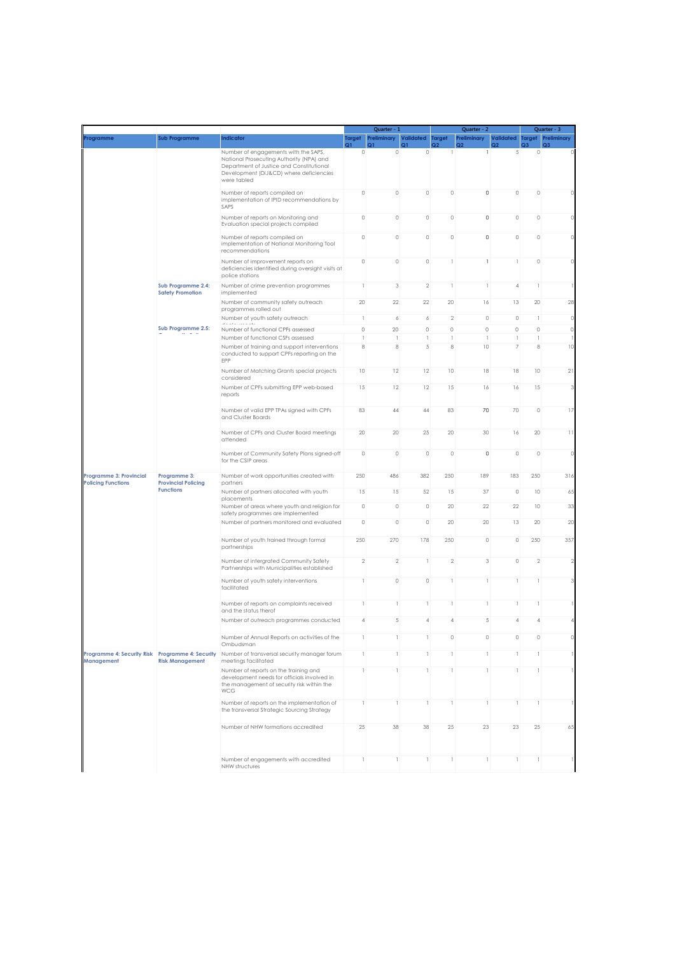|                                                                       |                                                                |                                                                                                                                                                                        | Quarter - 1    |                                       |                         |                 | Quarter - 2       |                 |                                       | Quarter - 3                           |
|-----------------------------------------------------------------------|----------------------------------------------------------------|----------------------------------------------------------------------------------------------------------------------------------------------------------------------------------------|----------------|---------------------------------------|-------------------------|-----------------|-------------------|-----------------|---------------------------------------|---------------------------------------|
| Programme                                                             | Sub Programme                                                  | <b>Indicator</b>                                                                                                                                                                       | Target         | Preliminary<br><u>ວາ</u>              | <b>Validated</b> Target | $\overline{22}$ | Preliminary<br>രാ | Validated<br>Q2 | <b>Target</b>                         | Preliminary                           |
|                                                                       |                                                                | Number of engagements with the SAPS,<br>National Prosecuting Authority (NPA) and<br>Department of Justice and Constitutional<br>Development (DiJ&CD) where deficiencies<br>were tabled | $\circ$        | $\circ$                               | $\circ$                 | $\mathbf{1}$    | 1                 | 5               | $\circ$                               | $\Omega$                              |
|                                                                       |                                                                | Number of reports compiled on<br>implementation of IPID recommendations by<br>SAPS                                                                                                     | 0              | $\mathbb O$                           | $\mathbb O$             | 0               | $\circ$           | $\mathbb O$     | 0                                     | $\Omega$                              |
|                                                                       |                                                                | Number of reports on Monitoring and<br>Evaluation special projects compiled                                                                                                            | $\mathbb O$    | $\circ$                               | $\mathbb O$             | $\mathbb O$     | $\circ$           | $\mathbb O$     | $\circ$                               | $\Omega$                              |
|                                                                       |                                                                | Number of reports compiled on<br>implementation of National Monitoring Tool<br>recommendations                                                                                         | 0              | $\circ$                               | $\mathbb O$             | $\mathbb O$     | $\circ$           | $\circ$         | 0                                     | $\Omega$                              |
|                                                                       |                                                                | Number of improvement reports on<br>deficiencies identified during oversight visits at<br>police stations                                                                              | $\circ$        | $\mathbb O$                           | $\mathbb O$             | 1               | 1                 | 1               | $\circ$                               | $\Omega$                              |
|                                                                       | Sub Programme 2.4:<br><b>Safety Promotion</b>                  | Number of crime prevention programmes<br>implemented                                                                                                                                   | 1              | 3                                     | $\sqrt{2}$              | -1              | 1                 | 4               | 1                                     | 1                                     |
|                                                                       |                                                                | Number of community safety outreach<br>programmes rolled out                                                                                                                           | 20             | 22                                    | 22                      | 20              | 16                | 13              | 20                                    | 28                                    |
|                                                                       |                                                                | Number of youth safety outreach                                                                                                                                                        | 1              | 6                                     | 6                       | $\overline{2}$  | $\circ$           | $\circ$         | $\begin{array}{c} \hline \end{array}$ | $\circ$                               |
|                                                                       | Sub Programme 2.5:                                             | Number of functional CPFs assessed                                                                                                                                                     | $\circ$        | 20                                    | $\circ$                 | $\circ$         | $\circ$           | $\circ$         | $\circ$                               | $\circ$                               |
|                                                                       |                                                                | Number of functional CSFs assessed                                                                                                                                                     | $\mathbf{1}$   | 1                                     | 1                       | 1               | 1                 | 1               | $\begin{array}{c} \hline \end{array}$ | 1                                     |
|                                                                       |                                                                | Number of training and support interventions<br>conducted to support CPFs reporting on the<br>EPP                                                                                      | 8              | 8                                     | $\sqrt{5}$              | 8               | 10                | 7               | 8                                     | 10                                    |
|                                                                       |                                                                | Number of Matching Grants special projects<br>considered                                                                                                                               | 10             | 12                                    | 12                      | 10              | 18                | 18              | 10                                    | 21                                    |
|                                                                       |                                                                | Number of CPFs submitting EPP web-based<br>reports                                                                                                                                     | 15             | 12                                    | 12                      | 15              | 16                | 16              | 15                                    | 3                                     |
|                                                                       |                                                                | Number of valid EPP TPAs signed with CPFs<br>and Cluster Boards                                                                                                                        | 83             | 44                                    | 44                      | 83              | 70                | 70              | $\circ$                               | 17                                    |
|                                                                       |                                                                | Number of CPFs and Cluster Board meetings<br>attended                                                                                                                                  | 20             | 20                                    | 25                      | 20              | 30                | 16              | 20                                    | $\begin{array}{c} \hline \end{array}$ |
|                                                                       |                                                                | Number of Community Safety Plans signed-off<br>for the CSIP areas                                                                                                                      | $\mathbb O$    | $\circ$                               | $\circ$                 | $\mathbb O$     | $\circ$           | $\circ$         | $\circ$                               | $\circ$                               |
| Programme 3: Provincial<br><b>Policing Functions</b>                  | Programme 3:<br><b>Provincial Policing</b><br><b>Functions</b> | Number of work opportunities created with<br>partners                                                                                                                                  | 250            | 486                                   | 382                     | 250             | 189               | 183             | 250                                   | 316                                   |
|                                                                       |                                                                | Number of partners allocated with youth<br>placements                                                                                                                                  | 15             | 15                                    | 52                      | 15              | 37                | $\circ$         | 10                                    | 65                                    |
|                                                                       |                                                                | Number of areas where youth and religion for<br>safety programmes are implemented                                                                                                      | 0              | $\circ$                               | $\circ$                 | 20              | 22                | 22              | 10                                    | 33                                    |
|                                                                       |                                                                | Number of partners monitored and evaluated                                                                                                                                             | 0              | $\circ$                               | $\circ$                 | 20              | 20                | 13              | 20                                    | 20                                    |
|                                                                       |                                                                | Number of youth trained through formal<br>partnerships                                                                                                                                 | 250            | 270                                   | 178                     | 250             | $\circ$           | $\circ$         | 250                                   | 357                                   |
|                                                                       |                                                                | Number of intergrated Community Safety<br>Partnerships with Municipalities established                                                                                                 | $\overline{2}$ | $\overline{2}$                        | 1                       | $\overline{2}$  | $_{3}$            | $\circ$         | $\,2$                                 | $\overline{2}$                        |
|                                                                       |                                                                | Number of youth safety interventions<br>facilitated                                                                                                                                    | 1              | $\circ$                               | $\circ$                 | 1               | 1                 | 1               | 1                                     | 3                                     |
|                                                                       |                                                                | Number of reports on complaints received<br>and the status therof                                                                                                                      | 1              | 1                                     | 1                       | 1               | 1                 | 1               | 1                                     |                                       |
|                                                                       |                                                                | Number of outreach programmes conducted                                                                                                                                                | $\overline{4}$ | 5                                     | $\overline{4}$          | $\overline{A}$  | 5                 | $\overline{4}$  | $\overline{4}$                        | $\overline{4}$                        |
|                                                                       |                                                                | Number of Annual Reports on activities of the<br>Ombudsman                                                                                                                             | 1              | $\begin{array}{c} \hline \end{array}$ | 1                       | $\circ$         | $\circ$           | $\circ$         | $\circ$                               |                                       |
| Programme 4: Security Risk Programme 4: Security<br><b>Management</b> | <b>Risk Management</b>                                         | Number of transversal security manager forum<br>meetings facilitated                                                                                                                   | $\mathbf{1}$   | $\mathbf{1}$                          | 1                       | $\mathbf{1}$    | 1                 | $\mathbf{1}$    | 1                                     | 1                                     |
|                                                                       |                                                                | Number of reports on the training and<br>development needs for officials involved in<br>the management of security risk within the<br>WCG                                              | 1              | $\begin{array}{c} \hline \end{array}$ | 1                       | 1               | 1                 | 1               | 1                                     | $\mathbf{1}$                          |
|                                                                       |                                                                | Number of reports on the implementation of<br>the transversal Strategic Sourcing Strategy                                                                                              | 1              | 1                                     | 1                       | 1               | 1                 | 1               | 1                                     |                                       |
|                                                                       |                                                                | Number of NHW formations accredited                                                                                                                                                    | 25             | 38                                    | 38                      | 25              | 23                | 23              | 25                                    | 65                                    |
|                                                                       |                                                                | Number of engagements with accredited<br>NHW structures                                                                                                                                | 1              | 1                                     | 1                       | $\mathbf{1}$    | Т.                | 1               | 1                                     | $\mathbf{1}$                          |